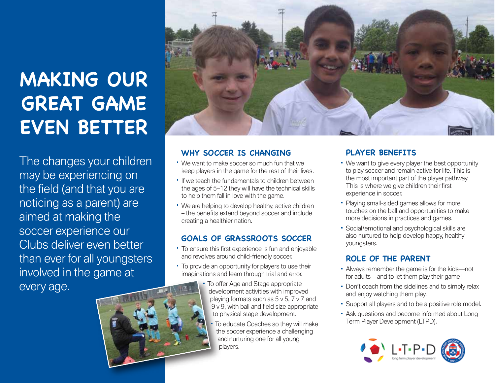# **MAKING OUR GREAT GAME EVEN BETTER**

The changes your children may be experiencing on the field (and that you are noticing as a parent) are aimed at making the soccer experience our Clubs deliver even better than ever for all youngsters involved in the game at every age.



#### WHY SOCCER IS CHANGING

- We want to make soccer so much fun that we keep players in the game for the rest of their lives.
- **If we teach the fundamentals to children between** the ages of 5–12 they will have the technical skills to help them fall in love with the game.
- We are helping to develop healthy, active children – the benefits extend beyond soccer and include creating a healthier nation.

#### **GOALS OF GRASSROOTS SOCCER**

- To ensure this first experience is fun and enjoyable and revolves around child-friendly soccer.
- To provide an opportunity for players to use their imaginations and learn through trial and error.
	- **To offer Age and Stage appropriate** development activities with improved playing formats such as 5 v 5, 7 v 7 and 9 v 9, with ball and field size appropriate to physical stage development.
		- To educate Coaches so they will make the soccer experience a challenging and nurturing one for all young players.

### **PLAYER BENEFITS**

- We want to give every player the best opportunity to play soccer and remain active for life. This is the most important part of the player pathway. This is where we give children their first experience in soccer.
- Playing small-sided games allows for more touches on the ball and opportunities to make more decisions in practices and games.
- Social/emotional and psychological skills are also nurtured to help develop happy, healthy youngsters.

#### **ROLE OF THE PARENT**

- Always remember the game is for the kids—not for adults—and to let them play their game!
- Don't coach from the sidelines and to simply relax and enjoy watching them play.
- Support all players and to be a positive role model.
- **Ask questions and become informed about Long** Term Player Development (LTPD).